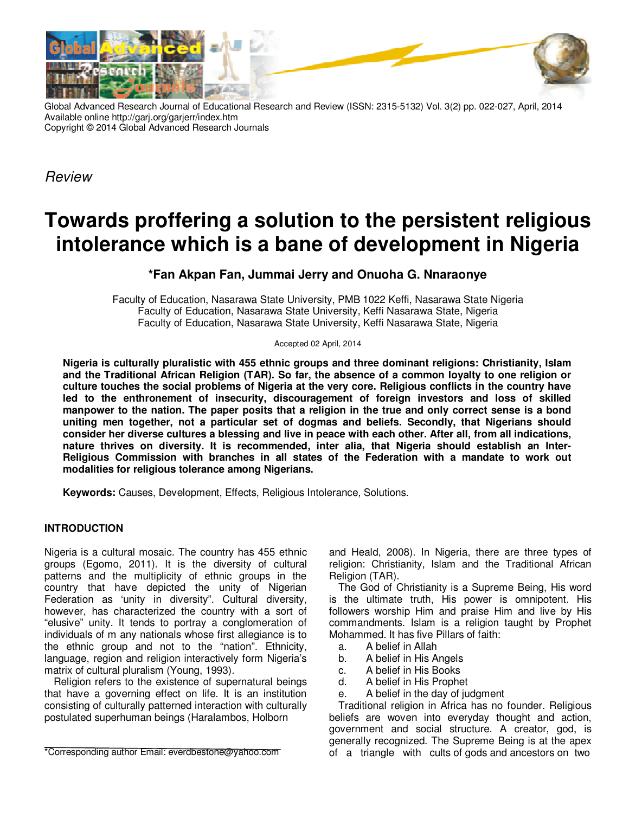

Global Advanced Research Journal of Educational Research and Review (ISSN: 2315-5132) Vol. 3(2) pp. 022-027, April, 2014 Available online http://garj.org/garjerr/index.htm Copyright © 2014 Global Advanced Research Journals

Review

# **Towards proffering a solution to the persistent religious intolerance which is a bane of development in Nigeria**

## **\*Fan Akpan Fan, Jummai Jerry and Onuoha G. Nnaraonye**

Faculty of Education, Nasarawa State University, PMB 1022 Keffi, Nasarawa State Nigeria Faculty of Education, Nasarawa State University, Keffi Nasarawa State, Nigeria Faculty of Education, Nasarawa State University, Keffi Nasarawa State, Nigeria

Accepted 02 April, 2014

**Nigeria is culturally pluralistic with 455 ethnic groups and three dominant religions: Christianity, Islam and the Traditional African Religion (TAR). So far, the absence of a common loyalty to one religion or culture touches the social problems of Nigeria at the very core. Religious conflicts in the country have led to the enthronement of insecurity, discouragement of foreign investors and loss of skilled manpower to the nation. The paper posits that a religion in the true and only correct sense is a bond uniting men together, not a particular set of dogmas and beliefs. Secondly, that Nigerians should consider her diverse cultures a blessing and live in peace with each other. After all, from all indications, nature thrives on diversity. It is recommended, inter alia, that Nigeria should establish an Inter-Religious Commission with branches in all states of the Federation with a mandate to work out modalities for religious tolerance among Nigerians.**

**Keywords:** Causes, Development, Effects, Religious Intolerance, Solutions.

## **INTRODUCTION**

Nigeria is a cultural mosaic. The country has 455 ethnic groups (Egomo, 2011). It is the diversity of cultural patterns and the multiplicity of ethnic groups in the country that have depicted the unity of Nigerian Federation as 'unity in diversity". Cultural diversity, however, has characterized the country with a sort of "elusive" unity. It tends to portray a conglomeration of individuals of m any nationals whose first allegiance is to the ethnic group and not to the "nation". Ethnicity, language, region and religion interactively form Nigeria's matrix of cultural pluralism (Young, 1993).

Religion refers to the existence of supernatural beings that have a governing effect on life. It is an institution consisting of culturally patterned interaction with culturally postulated superhuman beings (Haralambos, Holborn

\*Corresponding author Email: everdbestone@yahoo.com

and Heald, 2008). In Nigeria, there are three types of religion: Christianity, Islam and the Traditional African Religion (TAR).

The God of Christianity is a Supreme Being, His word is the ultimate truth, His power is omnipotent. His followers worship Him and praise Him and live by His commandments. Islam is a religion taught by Prophet Mohammed. It has five Pillars of faith:

- a. A belief in Allah
- b. A belief in His Angels
- c. A belief in His Books
- d. A belief in His Prophet
- e. A belief in the day of judgment

Traditional religion in Africa has no founder. Religious beliefs are woven into everyday thought and action, government and social structure. A creator, god, is generally recognized. The Supreme Being is at the apex of a triangle with cults of gods and ancestors on two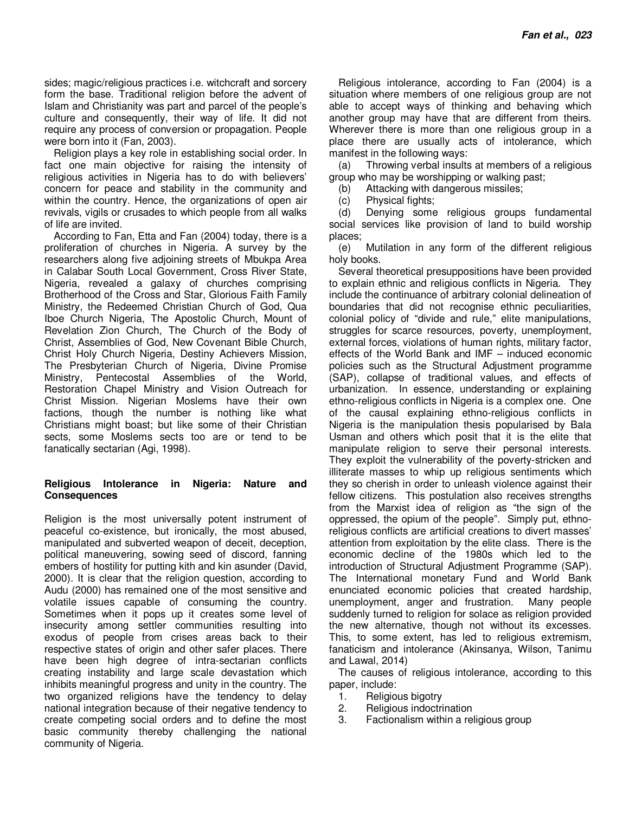sides; magic/religious practices i.e. witchcraft and sorcery form the base. Traditional religion before the advent of Islam and Christianity was part and parcel of the people's culture and consequently, their way of life. It did not require any process of conversion or propagation. People were born into it (Fan, 2003).

Religion plays a key role in establishing social order. In fact one main objective for raising the intensity of religious activities in Nigeria has to do with believers' concern for peace and stability in the community and within the country. Hence, the organizations of open air revivals, vigils or crusades to which people from all walks of life are invited.

According to Fan, Etta and Fan (2004) today, there is a proliferation of churches in Nigeria. A survey by the researchers along five adjoining streets of Mbukpa Area in Calabar South Local Government, Cross River State, Nigeria, revealed a galaxy of churches comprising Brotherhood of the Cross and Star, Glorious Faith Family Ministry, the Redeemed Christian Church of God, Qua Iboe Church Nigeria, The Apostolic Church, Mount of Revelation Zion Church, The Church of the Body of Christ, Assemblies of God, New Covenant Bible Church, Christ Holy Church Nigeria, Destiny Achievers Mission, The Presbyterian Church of Nigeria, Divine Promise Ministry, Pentecostal Assemblies of the World, Restoration Chapel Ministry and Vision Outreach for Christ Mission. Nigerian Moslems have their own factions, though the number is nothing like what Christians might boast; but like some of their Christian sects, some Moslems sects too are or tend to be fanatically sectarian (Agi, 1998).

#### **Religious Intolerance in Nigeria: Nature and Consequences**

Religion is the most universally potent instrument of peaceful co-existence, but ironically, the most abused, manipulated and subverted weapon of deceit, deception, political maneuvering, sowing seed of discord, fanning embers of hostility for putting kith and kin asunder (David, 2000). It is clear that the religion question, according to Audu (2000) has remained one of the most sensitive and volatile issues capable of consuming the country. Sometimes when it pops up it creates some level of insecurity among settler communities resulting into exodus of people from crises areas back to their respective states of origin and other safer places. There have been high degree of intra-sectarian conflicts creating instability and large scale devastation which inhibits meaningful progress and unity in the country. The two organized religions have the tendency to delay national integration because of their negative tendency to create competing social orders and to define the most basic community thereby challenging the national community of Nigeria.

Religious intolerance, according to Fan (2004) is a situation where members of one religious group are not able to accept ways of thinking and behaving which another group may have that are different from theirs. Wherever there is more than one religious group in a place there are usually acts of intolerance, which manifest in the following ways:

(a) Throwing verbal insults at members of a religious group who may be worshipping or walking past;

(b) Attacking with dangerous missiles;

(c) Physical fights;

(d) Denying some religious groups fundamental social services like provision of land to build worship places;

(e) Mutilation in any form of the different religious holy books.

Several theoretical presuppositions have been provided to explain ethnic and religious conflicts in Nigeria. They include the continuance of arbitrary colonial delineation of boundaries that did not recognise ethnic peculiarities, colonial policy of "divide and rule," elite manipulations, struggles for scarce resources, poverty, unemployment, external forces, violations of human rights, military factor, effects of the World Bank and IMF – induced economic policies such as the Structural Adjustment programme (SAP), collapse of traditional values, and effects of urbanization. In essence, understanding or explaining ethno-religious conflicts in Nigeria is a complex one. One of the causal explaining ethno-religious conflicts in Nigeria is the manipulation thesis popularised by Bala Usman and others which posit that it is the elite that manipulate religion to serve their personal interests. They exploit the vulnerability of the poverty-stricken and illiterate masses to whip up religious sentiments which they so cherish in order to unleash violence against their fellow citizens. This postulation also receives strengths from the Marxist idea of religion as "the sign of the oppressed, the opium of the people". Simply put, ethnoreligious conflicts are artificial creations to divert masses' attention from exploitation by the elite class. There is the economic decline of the 1980s which led to the introduction of Structural Adjustment Programme (SAP). The International monetary Fund and World Bank enunciated economic policies that created hardship, unemployment, anger and frustration. Many people suddenly turned to religion for solace as religion provided the new alternative, though not without its excesses. This, to some extent, has led to religious extremism, fanaticism and intolerance (Akinsanya, Wilson, Tanimu and Lawal, 2014)

The causes of religious intolerance, according to this paper, include:

- 1. Religious bigotry<br>2. Religious indoctri
- Religious indoctrination
- 3. Factionalism within a religious group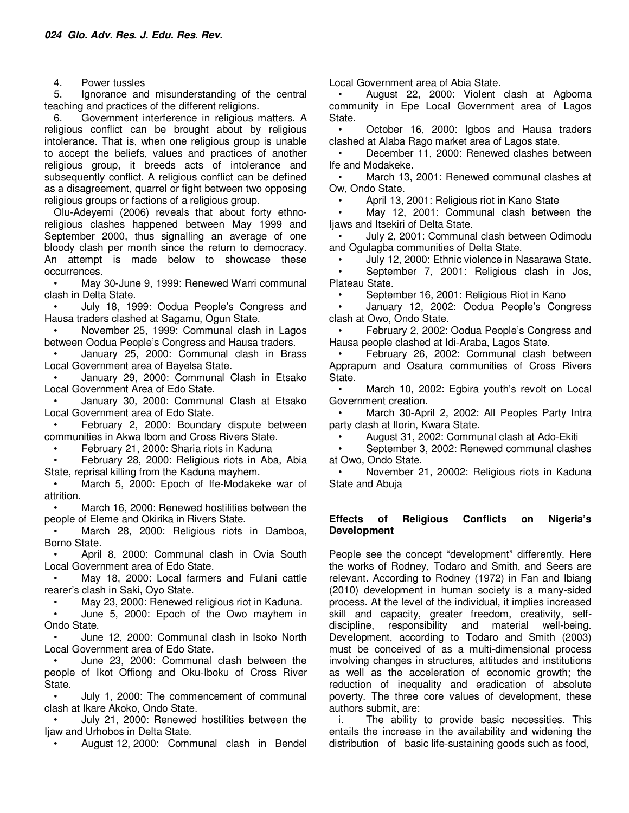4. Power tussles

5. Ignorance and misunderstanding of the central teaching and practices of the different religions.

6. Government interference in religious matters. A religious conflict can be brought about by religious intolerance. That is, when one religious group is unable to accept the beliefs, values and practices of another religious group, it breeds acts of intolerance and subsequently conflict. A religious conflict can be defined as a disagreement, quarrel or fight between two opposing religious groups or factions of a religious group.

Olu-Adeyemi (2006) reveals that about forty ethnoreligious clashes happened between May 1999 and September 2000, thus signalling an average of one bloody clash per month since the return to democracy. An attempt is made below to showcase these occurrences.

• May 30-June 9, 1999: Renewed Warri communal clash in Delta State.

• July 18, 1999: Oodua People's Congress and Hausa traders clashed at Sagamu, Ogun State.

• November 25, 1999: Communal clash in Lagos between Oodua People's Congress and Hausa traders.

• January 25, 2000: Communal clash in Brass Local Government area of Bayelsa State.

• January 29, 2000: Communal Clash in Etsako Local Government Area of Edo State.

• January 30, 2000: Communal Clash at Etsako Local Government area of Edo State.

• February 2, 2000: Boundary dispute between communities in Akwa Ibom and Cross Rivers State.

• February 21, 2000: Sharia riots in Kaduna

• February 28, 2000: Religious riots in Aba, Abia State, reprisal killing from the Kaduna mayhem.

March 5, 2000: Epoch of Ife-Modakeke war of attrition.

March 16, 2000: Renewed hostilities between the people of Eleme and Okirika in Rivers State.

March 28, 2000: Religious riots in Damboa, Borno State.

• April 8, 2000: Communal clash in Ovia South Local Government area of Edo State.

• May 18, 2000: Local farmers and Fulani cattle rearer's clash in Saki, Oyo State.

• May 23, 2000: Renewed religious riot in Kaduna.

• June 5, 2000: Epoch of the Owo mayhem in Ondo State.

• June 12, 2000: Communal clash in Isoko North Local Government area of Edo State.

• June 23, 2000: Communal clash between the people of Ikot Offiong and Oku-Iboku of Cross River State.

• July 1, 2000: The commencement of communal clash at Ikare Akoko, Ondo State.

• July 21, 2000: Renewed hostilities between the Ijaw and Urhobos in Delta State.

• August 12, 2000: Communal clash in Bendel

Local Government area of Abia State.

• August 22, 2000: Violent clash at Agboma community in Epe Local Government area of Lagos State.

• October 16, 2000: Igbos and Hausa traders clashed at Alaba Rago market area of Lagos state.

• December 11, 2000: Renewed clashes between Ife and Modakeke.

• March 13, 2001: Renewed communal clashes at Ow, Ondo State.

• April 13, 2001: Religious riot in Kano State

May 12, 2001: Communal clash between the Ijaws and Itsekiri of Delta State.

• July 2, 2001: Communal clash between Odimodu and Ogulagba communities of Delta State.

• July 12, 2000: Ethnic violence in Nasarawa State.

• September 7, 2001: Religious clash in Jos, Plateau State.

• September 16, 2001: Religious Riot in Kano

• January 12, 2002: Oodua People's Congress clash at Owo, Ondo State.

• February 2, 2002: Oodua People's Congress and Hausa people clashed at Idi-Araba, Lagos State.

• February 26, 2002: Communal clash between Apprapum and Osatura communities of Cross Rivers State.

March 10, 2002: Egbira youth's revolt on Local Government creation.

March 30-April 2, 2002: All Peoples Party Intra party clash at Ilorin, Kwara State.

• August 31, 2002: Communal clash at Ado-Ekiti

• September 3, 2002: Renewed communal clashes at Owo, Ondo State.

• November 21, 20002: Religious riots in Kaduna State and Abuja

#### **Effects of Religious Conflicts on Nigeria's Development**

People see the concept "development" differently. Here the works of Rodney, Todaro and Smith, and Seers are relevant. According to Rodney (1972) in Fan and Ibiang (2010) development in human society is a many-sided process. At the level of the individual, it implies increased skill and capacity, greater freedom, creativity, selfdiscipline, responsibility and material well-being. Development, according to Todaro and Smith (2003) must be conceived of as a multi-dimensional process involving changes in structures, attitudes and institutions as well as the acceleration of economic growth; the reduction of inequality and eradication of absolute poverty. The three core values of development, these authors submit, are:

i. The ability to provide basic necessities. This entails the increase in the availability and widening the distribution of basic life-sustaining goods such as food,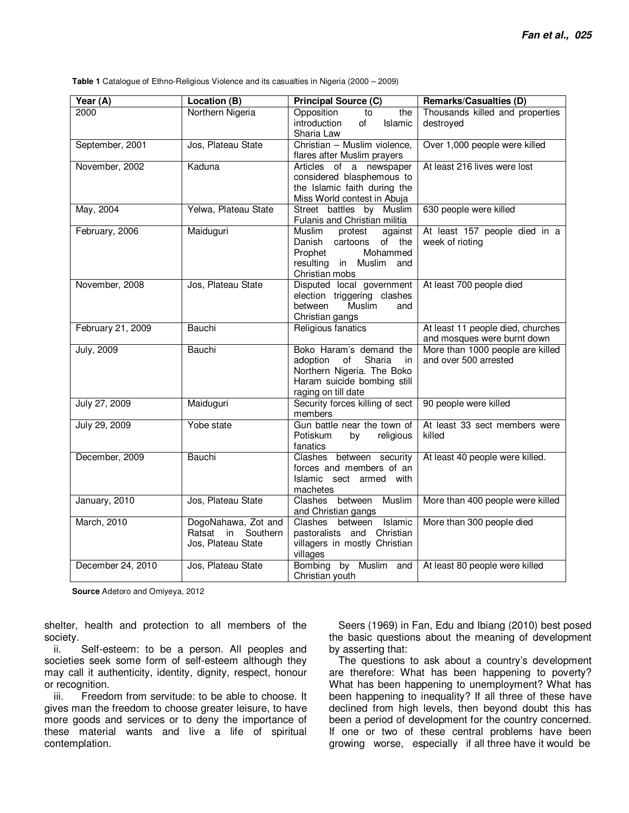**Table 1** Catalogue of Ethno-Religious Violence and its casualties in Nigeria (2000 – 2009)

| Year (A)            | Location (B)                                                          | <b>Principal Source (C)</b>                                                                                                                   | <b>Remarks/Casualties (D)</b>                                    |
|---------------------|-----------------------------------------------------------------------|-----------------------------------------------------------------------------------------------------------------------------------------------|------------------------------------------------------------------|
| 2000                | Northern Nigeria                                                      | Opposition<br>to<br>the<br>introduction<br>of<br>Islamic<br>Sharia Law                                                                        | Thousands killed and properties<br>destroyed                     |
| September, 2001     | Jos, Plateau State                                                    | Christian - Muslim violence,<br>flares after Muslim prayers                                                                                   | Over 1,000 people were killed                                    |
| November, 2002      | Kaduna                                                                | Articles of a newspaper<br>considered blasphemous to<br>the Islamic faith during the<br>Miss World contest in Abuja                           | At least 216 lives were lost                                     |
| May, 2004           | Yelwa, Plateau State                                                  | Street battles by Muslim<br>Fulanis and Christian militia                                                                                     | 630 people were killed                                           |
| February, 2006      | Maiduguri                                                             | Muslim<br>protest<br>against<br>Danish<br>cartoons of the<br>Prophet<br>Mohammed<br>resulting in Muslim and<br>Christian mobs                 | At least 157 people died in a<br>week of rioting                 |
| November, 2008      | Jos, Plateau State                                                    | Disputed local government<br>election triggering clashes<br>Muslim<br>between<br>and<br>Christian gangs                                       | At least 700 people died                                         |
| February 21, 2009   | Bauchi                                                                | Religious fanatics                                                                                                                            | At least 11 people died, churches<br>and mosques were burnt down |
| <b>July, 2009</b>   | Bauchi                                                                | Boko Haram's demand the<br>Sharia<br>adoption<br>of<br>in<br>Northern Nigeria. The Boko<br>Haram suicide bombing still<br>raging on till date | More than 1000 people are killed<br>and over 500 arrested        |
| July 27, 2009       | Maiduguri                                                             | Security forces killing of sect<br>members                                                                                                    | 90 people were killed                                            |
| July 29, 2009       | Yobe state                                                            | Gun battle near the town of<br>Potiskum<br>religious<br>by<br>fanatics                                                                        | At least 33 sect members were<br>killed                          |
| December, 2009      | <b>Bauchi</b>                                                         | Clashes between security<br>forces and members of an<br>Islamic sect armed with<br>machetes                                                   | At least 40 people were killed.                                  |
| January, 2010       | Jos, Plateau State                                                    | between<br>Muslim<br>Clashes<br>and Christian gangs                                                                                           | More than 400 people were killed                                 |
| <b>March</b> , 2010 | DogoNahawa, Zot and<br>Southern<br>Ratsat<br>in<br>Jos, Plateau State | Clashes between Islamic<br>pastoralists and Christian<br>villagers in mostly Christian<br>villages                                            | More than 300 people died                                        |
| December 24, 2010   | Jos, Plateau State                                                    | Bombing by Muslim and<br>Christian youth                                                                                                      | At least 80 people were killed                                   |

**Source** Adetoro and Omiyeya, 2012

shelter, health and protection to all members of the society.

ii. Self-esteem: to be a person. All peoples and societies seek some form of self-esteem although they may call it authenticity, identity, dignity, respect, honour or recognition.

iii. Freedom from servitude: to be able to choose. It gives man the freedom to choose greater leisure, to have more goods and services or to deny the importance of these material wants and live a life of spiritual contemplation.

Seers (1969) in Fan, Edu and Ibiang (2010) best posed the basic questions about the meaning of development by asserting that:

The questions to ask about a country's development are therefore: What has been happening to poverty? What has been happening to unemployment? What has been happening to inequality? If all three of these have declined from high levels, then beyond doubt this has been a period of development for the country concerned. If one or two of these central problems have been growing worse, especially if all three have it would be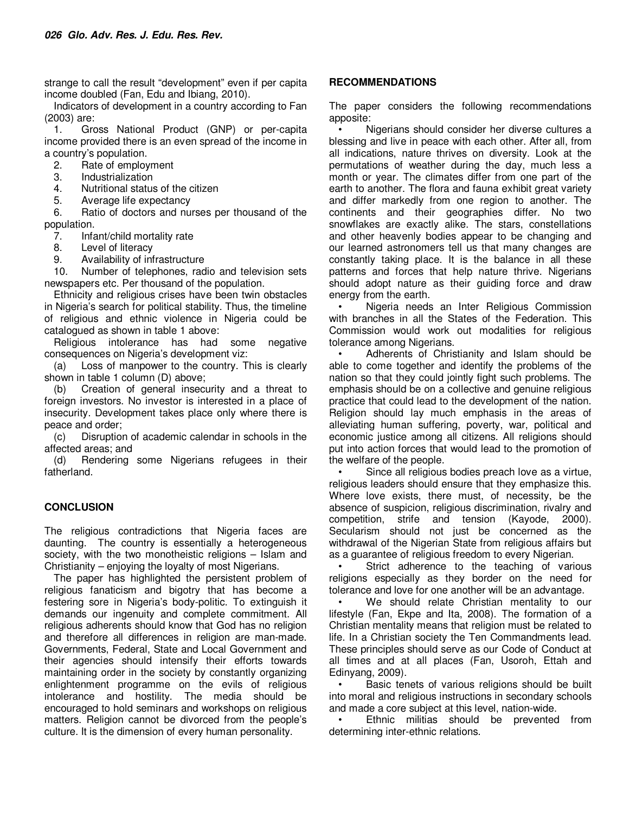strange to call the result "development" even if per capita income doubled (Fan, Edu and Ibiang, 2010).

Indicators of development in a country according to Fan (2003) are:

1. Gross National Product (GNP) or per-capita income provided there is an even spread of the income in a country's population.

- 2. Rate of employment
- 3. Industrialization
- 4. Nutritional status of the citizen
- 5. Average life expectancy

6. Ratio of doctors and nurses per thousand of the population.

- 7. Infant/child mortality rate<br>8. Level of literacy
- Level of literacy
- 9. Availability of infrastructure

10. Number of telephones, radio and television sets newspapers etc. Per thousand of the population.

Ethnicity and religious crises have been twin obstacles in Nigeria's search for political stability. Thus, the timeline of religious and ethnic violence in Nigeria could be catalogued as shown in table 1 above:

Religious intolerance has had some negative consequences on Nigeria's development viz:

(a) Loss of manpower to the country. This is clearly shown in table 1 column (D) above;

(b) Creation of general insecurity and a threat to foreign investors. No investor is interested in a place of insecurity. Development takes place only where there is peace and order;

(c) Disruption of academic calendar in schools in the affected areas; and

(d) Rendering some Nigerians refugees in their fatherland.

## **CONCLUSION**

The religious contradictions that Nigeria faces are daunting. The country is essentially a heterogeneous society, with the two monotheistic religions – Islam and Christianity – enjoying the loyalty of most Nigerians.

The paper has highlighted the persistent problem of religious fanaticism and bigotry that has become a festering sore in Nigeria's body-politic. To extinguish it demands our ingenuity and complete commitment. All religious adherents should know that God has no religion and therefore all differences in religion are man-made. Governments, Federal, State and Local Government and their agencies should intensify their efforts towards maintaining order in the society by constantly organizing enlightenment programme on the evils of religious intolerance and hostility. The media should be encouraged to hold seminars and workshops on religious matters. Religion cannot be divorced from the people's culture. It is the dimension of every human personality.

### **RECOMMENDATIONS**

The paper considers the following recommendations apposite:

• Nigerians should consider her diverse cultures a blessing and live in peace with each other. After all, from all indications, nature thrives on diversity. Look at the permutations of weather during the day, much less a month or year. The climates differ from one part of the earth to another. The flora and fauna exhibit great variety and differ markedly from one region to another. The continents and their geographies differ. No two snowflakes are exactly alike. The stars, constellations and other heavenly bodies appear to be changing and our learned astronomers tell us that many changes are constantly taking place. It is the balance in all these patterns and forces that help nature thrive. Nigerians should adopt nature as their guiding force and draw energy from the earth.

• Nigeria needs an Inter Religious Commission with branches in all the States of the Federation. This Commission would work out modalities for religious tolerance among Nigerians.

• Adherents of Christianity and Islam should be able to come together and identify the problems of the nation so that they could jointly fight such problems. The emphasis should be on a collective and genuine religious practice that could lead to the development of the nation. Religion should lay much emphasis in the areas of alleviating human suffering, poverty, war, political and economic justice among all citizens. All religions should put into action forces that would lead to the promotion of the welfare of the people.

Since all religious bodies preach love as a virtue, religious leaders should ensure that they emphasize this. Where love exists, there must, of necessity, be the absence of suspicion, religious discrimination, rivalry and competition, strife and tension (Kayode, 2000). Secularism should not just be concerned as the withdrawal of the Nigerian State from religious affairs but as a guarantee of religious freedom to every Nigerian.

Strict adherence to the teaching of various religions especially as they border on the need for tolerance and love for one another will be an advantage.

We should relate Christian mentality to our lifestyle (Fan, Ekpe and Ita, 2008). The formation of a Christian mentality means that religion must be related to life. In a Christian society the Ten Commandments lead. These principles should serve as our Code of Conduct at all times and at all places (Fan, Usoroh, Ettah and Edinyang, 2009).

Basic tenets of various religions should be built into moral and religious instructions in secondary schools and made a core subject at this level, nation-wide.

Ethnic militias should be prevented from determining inter-ethnic relations.